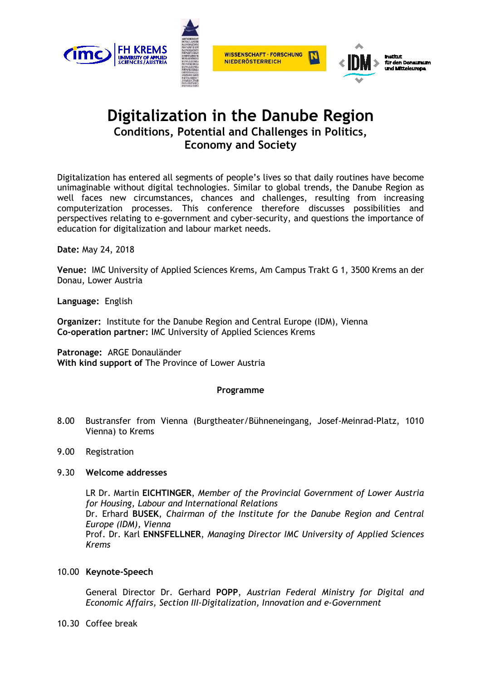

# **Digitalization in the Danube Region Conditions, Potential and Challenges in Politics, Economy and Society**

Digitalization has entered all segments of people's lives so that daily routines have become unimaginable without digital technologies. Similar to global trends, the Danube Region as well faces new circumstances, chances and challenges, resulting from increasing computerization processes. This conference therefore discusses possibilities and perspectives relating to e-government and cyber-security, and questions the importance of education for digitalization and labour market needs.

**Date:** May 24, 2018

**Venue:** IMC University of Applied Sciences Krems, Am Campus Trakt G 1, 3500 Krems an der Donau, Lower Austria

**Language:** English

**Organizer:** Institute for the Danube Region and Central Europe (IDM), Vienna **Co-operation partner:** IMC University of Applied Sciences Krems

**Patronage:** ARGE Donauländer **With kind support of** The Province of Lower Austria

## **Programme**

- 8.00 Bustransfer from Vienna (Burgtheater/Bühneneingang, Josef-Meinrad-Platz, 1010 Vienna) to Krems
- 9.00 Registration

# 9.30 **Welcome addresses**

LR Dr. Martin **EICHTINGER**, *Member of the Provincial Government of Lower Austria for Housing, Labour and International Relations*  Dr. Erhard **BUSEK**, *Chairman of the Institute for the Danube Region and Central Europe (IDM), Vienna* Prof. Dr. Karl **ENNSFELLNER**, *Managing Director IMC University of Applied Sciences Krems* 

10.00 **Keynote-Speech** 

General Director Dr. Gerhard **POPP**, *Austrian Federal Ministry for Digital and Economic Affairs, Section III-Digitalization, Innovation and e-Government* 

10.30 Coffee break